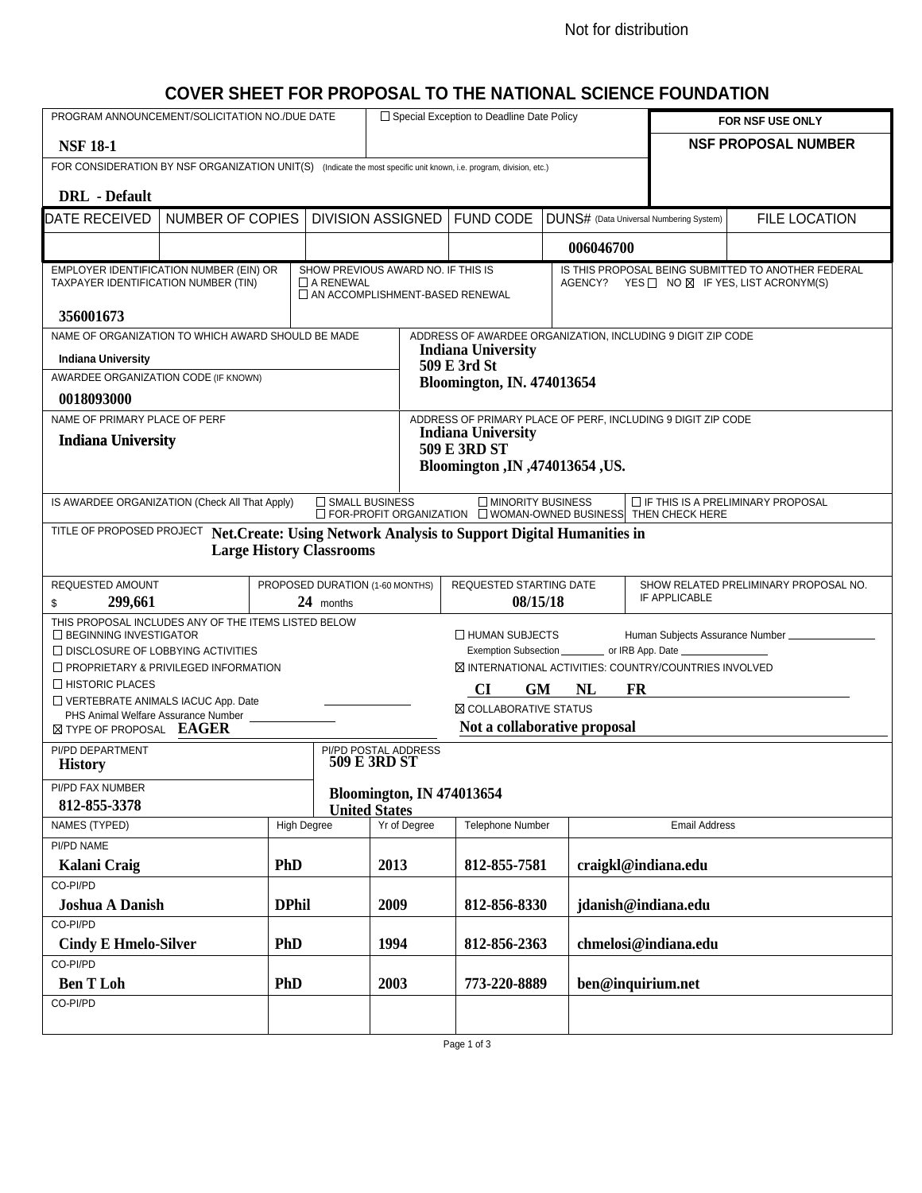#### Not for distribution

## **COVER SHEET FOR PROPOSAL TO THE NATIONAL SCIENCE FOUNDATION**

| PROGRAM ANNOUNCEMENT/SOLICITATION NO./DUE DATE                                                                                                                                                                              |            |                    |                                                        |                                      | $\Box$ Special Exception to Deadline Date Policy                                          |           |                                                                                                                        | FOR NSF USE ONLY                                                                                  |  |
|-----------------------------------------------------------------------------------------------------------------------------------------------------------------------------------------------------------------------------|------------|--------------------|--------------------------------------------------------|--------------------------------------|-------------------------------------------------------------------------------------------|-----------|------------------------------------------------------------------------------------------------------------------------|---------------------------------------------------------------------------------------------------|--|
| <b>NSF 18-1</b>                                                                                                                                                                                                             |            |                    |                                                        |                                      |                                                                                           |           |                                                                                                                        | <b>NSF PROPOSAL NUMBER</b>                                                                        |  |
| FOR CONSIDERATION BY NSF ORGANIZATION UNIT(S) (Indicate the most specific unit known, i.e. program, division, etc.)                                                                                                         |            |                    |                                                        |                                      |                                                                                           |           |                                                                                                                        |                                                                                                   |  |
| <b>DRL</b> - Default                                                                                                                                                                                                        |            |                    |                                                        |                                      |                                                                                           |           |                                                                                                                        |                                                                                                   |  |
| DATE RECEIVED<br><b>NUMBER OF COPIES</b>                                                                                                                                                                                    |            |                    | <b>DIVISION ASSIGNED</b>                               |                                      | <b>FUND CODE</b>                                                                          |           | DUNS# (Data Universal Numbering System)                                                                                | <b>FILE LOCATION</b>                                                                              |  |
|                                                                                                                                                                                                                             |            |                    |                                                        |                                      |                                                                                           | 006046700 |                                                                                                                        |                                                                                                   |  |
| EMPLOYER IDENTIFICATION NUMBER (EIN) OR                                                                                                                                                                                     |            |                    | SHOW PREVIOUS AWARD NO. IF THIS IS<br>$\Box$ A RENEWAL |                                      |                                                                                           |           |                                                                                                                        | IS THIS PROPOSAL BEING SUBMITTED TO ANOTHER FEDERAL<br>AGENCY? YES □ NO ⊠ IF YES, LIST ACRONYM(S) |  |
| TAXPAYER IDENTIFICATION NUMBER (TIN)                                                                                                                                                                                        |            |                    |                                                        | AN ACCOMPLISHMENT-BASED RENEWAL      |                                                                                           |           |                                                                                                                        |                                                                                                   |  |
| 356001673                                                                                                                                                                                                                   |            |                    |                                                        |                                      |                                                                                           |           |                                                                                                                        |                                                                                                   |  |
| NAME OF ORGANIZATION TO WHICH AWARD SHOULD BE MADE                                                                                                                                                                          |            |                    |                                                        |                                      | ADDRESS OF AWARDEE ORGANIZATION, INCLUDING 9 DIGIT ZIP CODE<br><b>Indiana University</b>  |           |                                                                                                                        |                                                                                                   |  |
| <b>Indiana University</b>                                                                                                                                                                                                   |            |                    |                                                        |                                      | 509 E 3rd St                                                                              |           |                                                                                                                        |                                                                                                   |  |
| AWARDEE ORGANIZATION CODE (IF KNOWN)                                                                                                                                                                                        |            |                    |                                                        | <b>Bloomington, IN. 474013654</b>    |                                                                                           |           |                                                                                                                        |                                                                                                   |  |
| 0018093000                                                                                                                                                                                                                  |            |                    |                                                        |                                      |                                                                                           |           |                                                                                                                        |                                                                                                   |  |
| NAME OF PRIMARY PLACE OF PERF                                                                                                                                                                                               |            |                    |                                                        |                                      | ADDRESS OF PRIMARY PLACE OF PERF, INCLUDING 9 DIGIT ZIP CODE<br><b>Indiana University</b> |           |                                                                                                                        |                                                                                                   |  |
| <b>Indiana University</b>                                                                                                                                                                                                   |            |                    |                                                        |                                      | <b>509 E 3RD ST</b>                                                                       |           |                                                                                                                        |                                                                                                   |  |
|                                                                                                                                                                                                                             |            |                    |                                                        |                                      | Bloomington ,IN ,474013654 ,US.                                                           |           |                                                                                                                        |                                                                                                   |  |
|                                                                                                                                                                                                                             |            |                    |                                                        |                                      |                                                                                           |           |                                                                                                                        |                                                                                                   |  |
| IS AWARDEE ORGANIZATION (Check All That Apply)                                                                                                                                                                              |            |                    | SMALL BUSINESS                                         |                                      | <b>IMINORITY BUSINESS</b>                                                                 |           | $\Box$ IF THIS IS A PRELIMINARY PROPOSAL<br>$\Box$ FOR-PROFIT ORGANIZATION $\Box$ WOMAN-OWNED BUSINESS THEN CHECK HERE |                                                                                                   |  |
| TITLE OF PROPOSED PROJECT Net. Create: Using Network Analysis to Support Digital Humanities in                                                                                                                              |            |                    |                                                        |                                      |                                                                                           |           |                                                                                                                        |                                                                                                   |  |
|                                                                                                                                                                                                                             |            |                    | <b>Large History Classrooms</b>                        |                                      |                                                                                           |           |                                                                                                                        |                                                                                                   |  |
| REQUESTED AMOUNT                                                                                                                                                                                                            |            |                    |                                                        | PROPOSED DURATION (1-60 MONTHS)      | REQUESTED STARTING DATE<br>SHOW RELATED PRELIMINARY PROPOSAL NO.                          |           |                                                                                                                        |                                                                                                   |  |
| 299,661<br>\$                                                                                                                                                                                                               |            |                    | 24 months                                              |                                      | 08/15/18                                                                                  |           | IF APPLICABLE                                                                                                          |                                                                                                   |  |
| THIS PROPOSAL INCLUDES ANY OF THE ITEMS LISTED BELOW                                                                                                                                                                        |            |                    |                                                        |                                      |                                                                                           |           |                                                                                                                        |                                                                                                   |  |
| □ BEGINNING INVESTIGATOR<br>HUMAN SUBJECTS<br>Human Subjects Assurance Number _____________<br>Exemption Subsection ____________ or IRB App. Date _____________________________<br>$\Box$ DISCLOSURE OF LOBBYING ACTIVITIES |            |                    |                                                        |                                      |                                                                                           |           |                                                                                                                        |                                                                                                   |  |
| $\Box$ PROPRIETARY & PRIVILEGED INFORMATION                                                                                                                                                                                 |            |                    |                                                        |                                      | <b>⊠ INTERNATIONAL ACTIVITIES: COUNTRY/COUNTRIES INVOLVED</b>                             |           |                                                                                                                        |                                                                                                   |  |
| □ HISTORIC PLACES                                                                                                                                                                                                           |            |                    |                                                        |                                      | CI<br>GM                                                                                  | NL        | <b>FR</b>                                                                                                              |                                                                                                   |  |
| VERTEBRATE ANIMALS IACUC App. Date                                                                                                                                                                                          |            |                    |                                                        |                                      | <b>N COLLABORATIVE STATUS</b>                                                             |           |                                                                                                                        |                                                                                                   |  |
| PHS Animal Welfare Assurance Number<br>Not a collaborative proposal<br><b>X TYPE OF PROPOSAL EAGER</b>                                                                                                                      |            |                    |                                                        |                                      |                                                                                           |           |                                                                                                                        |                                                                                                   |  |
| PI/PD DEPARTMENT                                                                                                                                                                                                            |            |                    |                                                        |                                      |                                                                                           |           |                                                                                                                        |                                                                                                   |  |
| <b>History</b>                                                                                                                                                                                                              |            |                    |                                                        | PI/PD POSTAL ADDRESS<br>509 E 3RD ST |                                                                                           |           |                                                                                                                        |                                                                                                   |  |
| PI/PD FAX NUMBER                                                                                                                                                                                                            |            |                    |                                                        |                                      | <b>Bloomington, IN 474013654</b>                                                          |           |                                                                                                                        |                                                                                                   |  |
| 812-855-3378                                                                                                                                                                                                                |            |                    | <b>United States</b>                                   |                                      |                                                                                           |           |                                                                                                                        |                                                                                                   |  |
| NAMES (TYPED)                                                                                                                                                                                                               |            | <b>High Degree</b> |                                                        | Yr of Degree                         | Telephone Number                                                                          |           | <b>Email Address</b>                                                                                                   |                                                                                                   |  |
| PI/PD NAME                                                                                                                                                                                                                  | <b>PhD</b> |                    |                                                        | 2013                                 | 812-855-7581                                                                              |           | craigkl@indiana.edu                                                                                                    |                                                                                                   |  |
| Kalani Craig<br>CO-PI/PD                                                                                                                                                                                                    |            |                    |                                                        |                                      |                                                                                           |           |                                                                                                                        |                                                                                                   |  |
| <b>Joshua A Danish</b>                                                                                                                                                                                                      |            | <b>DPhil</b>       |                                                        | 2009                                 | 812-856-8330                                                                              |           | jdanish@indiana.edu                                                                                                    |                                                                                                   |  |
| CO-PI/PD                                                                                                                                                                                                                    |            |                    |                                                        |                                      |                                                                                           |           |                                                                                                                        |                                                                                                   |  |
| <b>Cindy E Hmelo-Silver</b>                                                                                                                                                                                                 |            | <b>PhD</b>         |                                                        | 1994                                 | 812-856-2363                                                                              |           | chmelosi@indiana.edu                                                                                                   |                                                                                                   |  |
| CO-PI/PD                                                                                                                                                                                                                    |            |                    |                                                        |                                      |                                                                                           |           |                                                                                                                        |                                                                                                   |  |
| <b>Ben T Loh</b>                                                                                                                                                                                                            |            | <b>PhD</b>         |                                                        | 2003                                 | 773-220-8889<br>ben@inquirium.net                                                         |           |                                                                                                                        |                                                                                                   |  |
| CO-PI/PD                                                                                                                                                                                                                    |            |                    |                                                        |                                      |                                                                                           |           |                                                                                                                        |                                                                                                   |  |
|                                                                                                                                                                                                                             |            |                    |                                                        |                                      |                                                                                           |           |                                                                                                                        |                                                                                                   |  |

Page 1 of 3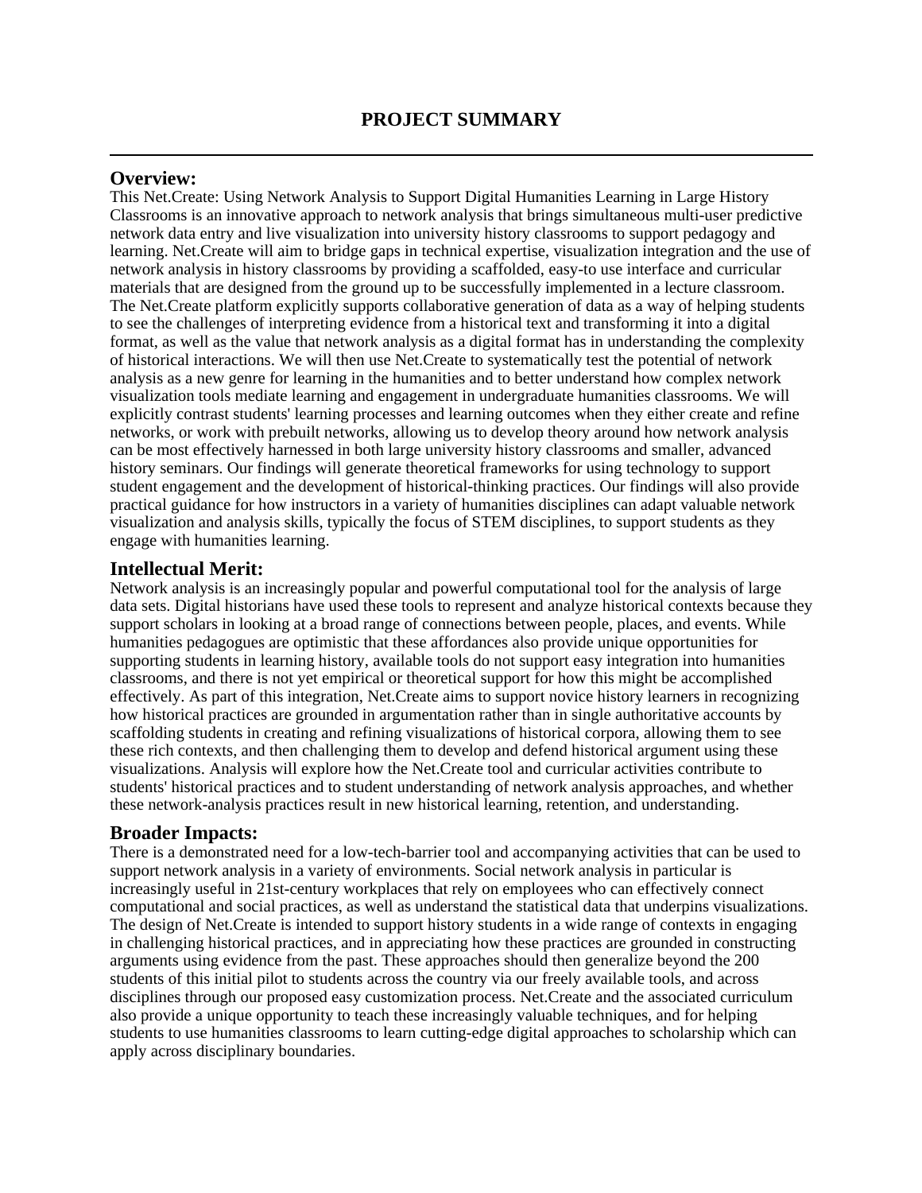## **Overview:**

This Net.Create: Using Network Analysis to Support Digital Humanities Learning in Large History Classrooms is an innovative approach to network analysis that brings simultaneous multi-user predictive network data entry and live visualization into university history classrooms to support pedagogy and learning. Net.Create will aim to bridge gaps in technical expertise, visualization integration and the use of network analysis in history classrooms by providing a scaffolded, easy-to use interface and curricular materials that are designed from the ground up to be successfully implemented in a lecture classroom. The Net.Create platform explicitly supports collaborative generation of data as a way of helping students to see the challenges of interpreting evidence from a historical text and transforming it into a digital format, as well as the value that network analysis as a digital format has in understanding the complexity of historical interactions. We will then use Net.Create to systematically test the potential of network analysis as a new genre for learning in the humanities and to better understand how complex network visualization tools mediate learning and engagement in undergraduate humanities classrooms. We will explicitly contrast students' learning processes and learning outcomes when they either create and refine networks, or work with prebuilt networks, allowing us to develop theory around how network analysis can be most effectively harnessed in both large university history classrooms and smaller, advanced history seminars. Our findings will generate theoretical frameworks for using technology to support student engagement and the development of historical-thinking practices. Our findings will also provide practical guidance for how instructors in a variety of humanities disciplines can adapt valuable network visualization and analysis skills, typically the focus of STEM disciplines, to support students as they engage with humanities learning.

## **Intellectual Merit:**

Network analysis is an increasingly popular and powerful computational tool for the analysis of large data sets. Digital historians have used these tools to represent and analyze historical contexts because they support scholars in looking at a broad range of connections between people, places, and events. While humanities pedagogues are optimistic that these affordances also provide unique opportunities for supporting students in learning history, available tools do not support easy integration into humanities classrooms, and there is not yet empirical or theoretical support for how this might be accomplished effectively. As part of this integration, Net.Create aims to support novice history learners in recognizing how historical practices are grounded in argumentation rather than in single authoritative accounts by scaffolding students in creating and refining visualizations of historical corpora, allowing them to see these rich contexts, and then challenging them to develop and defend historical argument using these visualizations. Analysis will explore how the Net.Create tool and curricular activities contribute to students' historical practices and to student understanding of network analysis approaches, and whether these network-analysis practices result in new historical learning, retention, and understanding.

## **Broader Impacts:**

There is a demonstrated need for a low-tech-barrier tool and accompanying activities that can be used to support network analysis in a variety of environments. Social network analysis in particular is increasingly useful in 21st-century workplaces that rely on employees who can effectively connect computational and social practices, as well as understand the statistical data that underpins visualizations. The design of Net.Create is intended to support history students in a wide range of contexts in engaging in challenging historical practices, and in appreciating how these practices are grounded in constructing arguments using evidence from the past. These approaches should then generalize beyond the 200 students of this initial pilot to students across the country via our freely available tools, and across disciplines through our proposed easy customization process. Net.Create and the associated curriculum also provide a unique opportunity to teach these increasingly valuable techniques, and for helping students to use humanities classrooms to learn cutting-edge digital approaches to scholarship which can apply across disciplinary boundaries.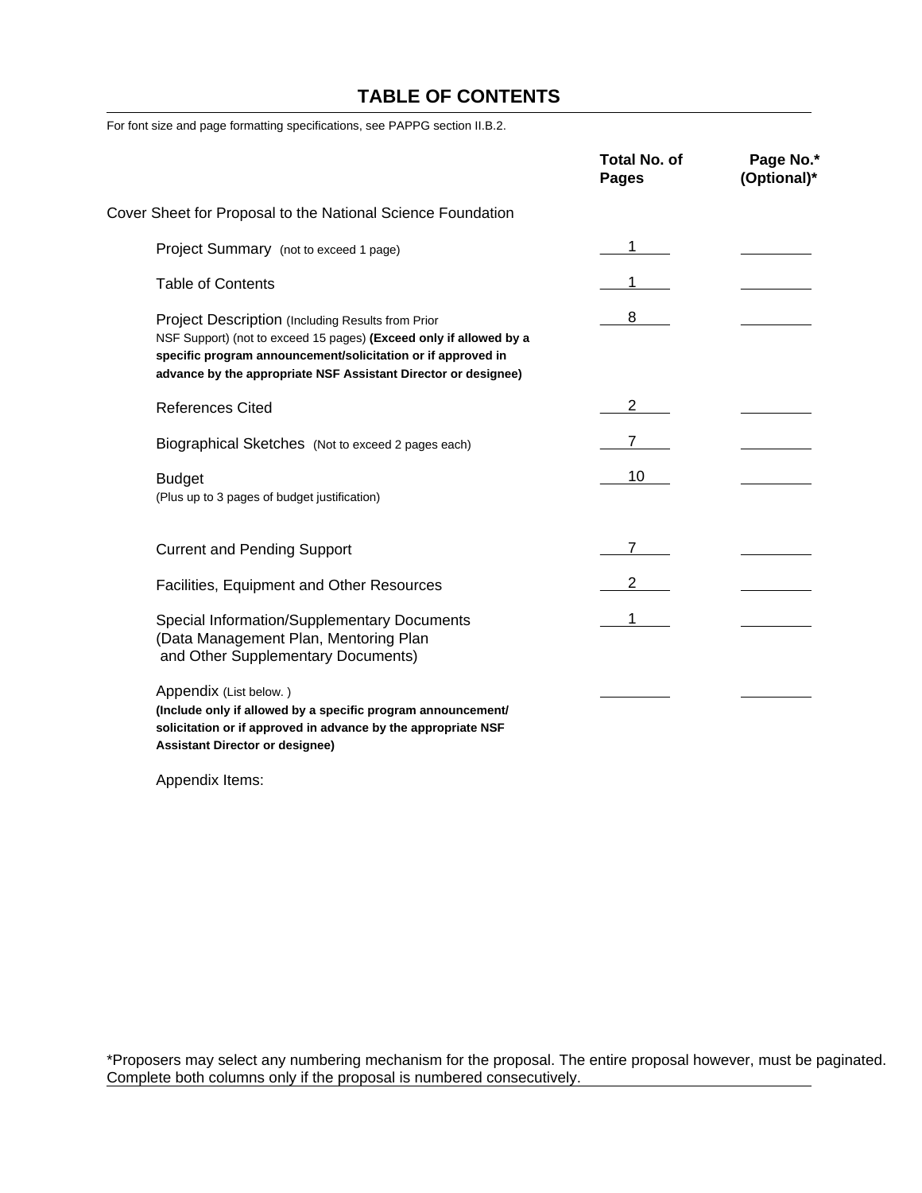# **TABLE OF CONTENTS**

For font size and page formatting specifications, see PAPPG section II.B.2.

|                                                                                                                                                                                                                                                           | <b>Total No. of</b><br><b>Pages</b> | Page No.*<br>(Optional)* |
|-----------------------------------------------------------------------------------------------------------------------------------------------------------------------------------------------------------------------------------------------------------|-------------------------------------|--------------------------|
| Cover Sheet for Proposal to the National Science Foundation                                                                                                                                                                                               |                                     |                          |
| Project Summary (not to exceed 1 page)                                                                                                                                                                                                                    |                                     |                          |
| <b>Table of Contents</b>                                                                                                                                                                                                                                  |                                     |                          |
| Project Description (Including Results from Prior<br>NSF Support) (not to exceed 15 pages) (Exceed only if allowed by a<br>specific program announcement/solicitation or if approved in<br>advance by the appropriate NSF Assistant Director or designee) | 8                                   |                          |
| <b>References Cited</b>                                                                                                                                                                                                                                   | 2                                   |                          |
| Biographical Sketches (Not to exceed 2 pages each)                                                                                                                                                                                                        |                                     |                          |
| <b>Budget</b><br>(Plus up to 3 pages of budget justification)                                                                                                                                                                                             | 10                                  |                          |
| <b>Current and Pending Support</b>                                                                                                                                                                                                                        |                                     |                          |
| Facilities, Equipment and Other Resources                                                                                                                                                                                                                 | $\mathbf{2}$                        |                          |
| Special Information/Supplementary Documents<br>(Data Management Plan, Mentoring Plan<br>and Other Supplementary Documents)                                                                                                                                |                                     |                          |
| Appendix (List below.)<br>(Include only if allowed by a specific program announcement/<br>solicitation or if approved in advance by the appropriate NSF<br><b>Assistant Director or designee)</b>                                                         |                                     |                          |

Appendix Items:

\*Proposers may select any numbering mechanism for the proposal. The entire proposal however, must be paginated. Complete both columns only if the proposal is numbered consecutively.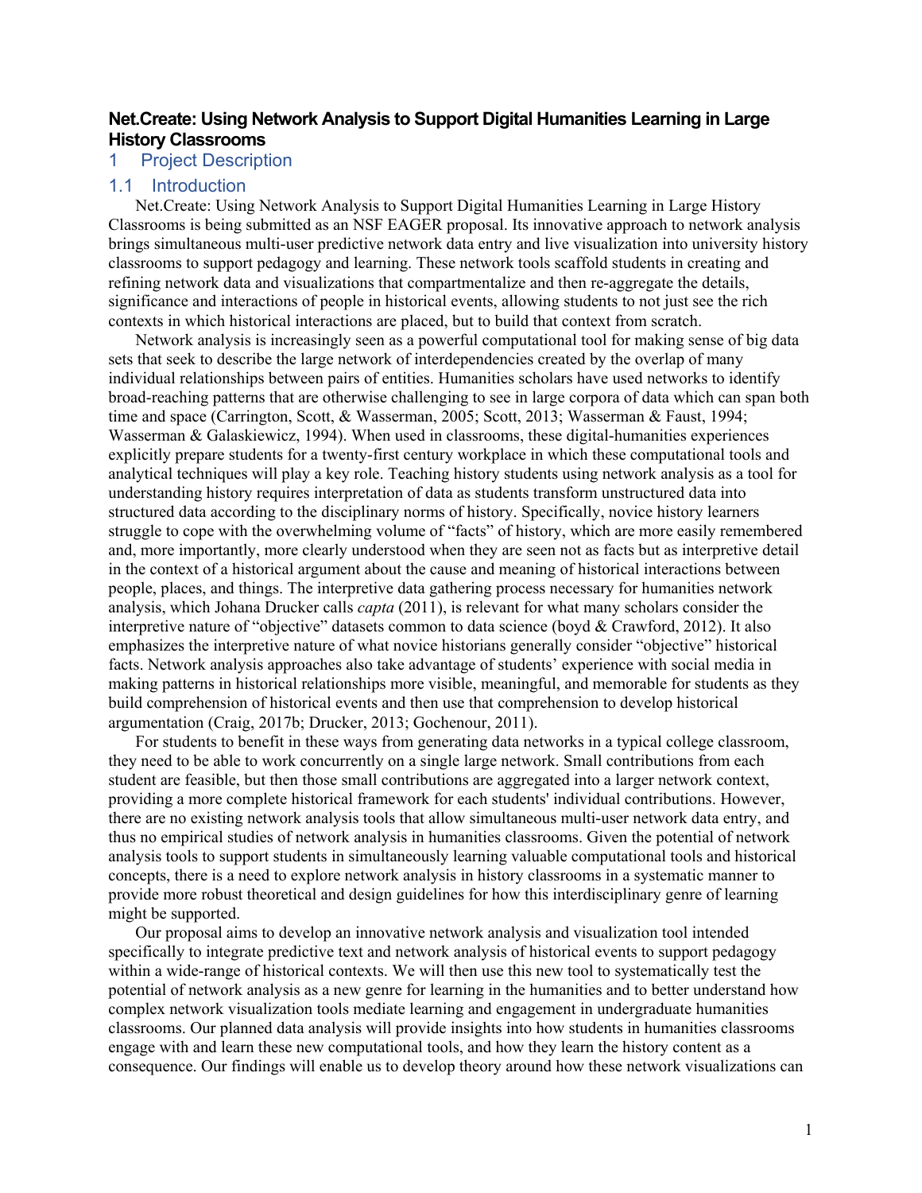## **Net.Create: Using Network Analysis to Support Digital Humanities Learning in Large History Classrooms**

## 1 Project Description

## 1.1 Introduction

Net.Create: Using Network Analysis to Support Digital Humanities Learning in Large History Classrooms is being submitted as an NSF EAGER proposal. Its innovative approach to network analysis brings simultaneous multi-user predictive network data entry and live visualization into university history classrooms to support pedagogy and learning. These network tools scaffold students in creating and refining network data and visualizations that compartmentalize and then re-aggregate the details, significance and interactions of people in historical events, allowing students to not just see the rich contexts in which historical interactions are placed, but to build that context from scratch.

Network analysis is increasingly seen as a powerful computational tool for making sense of big data sets that seek to describe the large network of interdependencies created by the overlap of many individual relationships between pairs of entities. Humanities scholars have used networks to identify broad-reaching patterns that are otherwise challenging to see in large corpora of data which can span both time and space (Carrington, Scott, & Wasserman, 2005; Scott, 2013; Wasserman & Faust, 1994; Wasserman & Galaskiewicz, 1994). When used in classrooms, these digital-humanities experiences explicitly prepare students for a twenty-first century workplace in which these computational tools and analytical techniques will play a key role. Teaching history students using network analysis as a tool for understanding history requires interpretation of data as students transform unstructured data into structured data according to the disciplinary norms of history. Specifically, novice history learners struggle to cope with the overwhelming volume of "facts" of history, which are more easily remembered and, more importantly, more clearly understood when they are seen not as facts but as interpretive detail in the context of a historical argument about the cause and meaning of historical interactions between people, places, and things. The interpretive data gathering process necessary for humanities network analysis, which Johana Drucker calls *capta* (2011), is relevant for what many scholars consider the interpretive nature of "objective" datasets common to data science (boyd & Crawford, 2012). It also emphasizes the interpretive nature of what novice historians generally consider "objective" historical facts. Network analysis approaches also take advantage of students' experience with social media in making patterns in historical relationships more visible, meaningful, and memorable for students as they build comprehension of historical events and then use that comprehension to develop historical argumentation (Craig, 2017b; Drucker, 2013; Gochenour, 2011).

For students to benefit in these ways from generating data networks in a typical college classroom, they need to be able to work concurrently on a single large network. Small contributions from each student are feasible, but then those small contributions are aggregated into a larger network context, providing a more complete historical framework for each students' individual contributions. However, there are no existing network analysis tools that allow simultaneous multi-user network data entry, and thus no empirical studies of network analysis in humanities classrooms. Given the potential of network analysis tools to support students in simultaneously learning valuable computational tools and historical concepts, there is a need to explore network analysis in history classrooms in a systematic manner to provide more robust theoretical and design guidelines for how this interdisciplinary genre of learning might be supported.

Our proposal aims to develop an innovative network analysis and visualization tool intended specifically to integrate predictive text and network analysis of historical events to support pedagogy within a wide-range of historical contexts. We will then use this new tool to systematically test the potential of network analysis as a new genre for learning in the humanities and to better understand how complex network visualization tools mediate learning and engagement in undergraduate humanities classrooms. Our planned data analysis will provide insights into how students in humanities classrooms engage with and learn these new computational tools, and how they learn the history content as a consequence. Our findings will enable us to develop theory around how these network visualizations can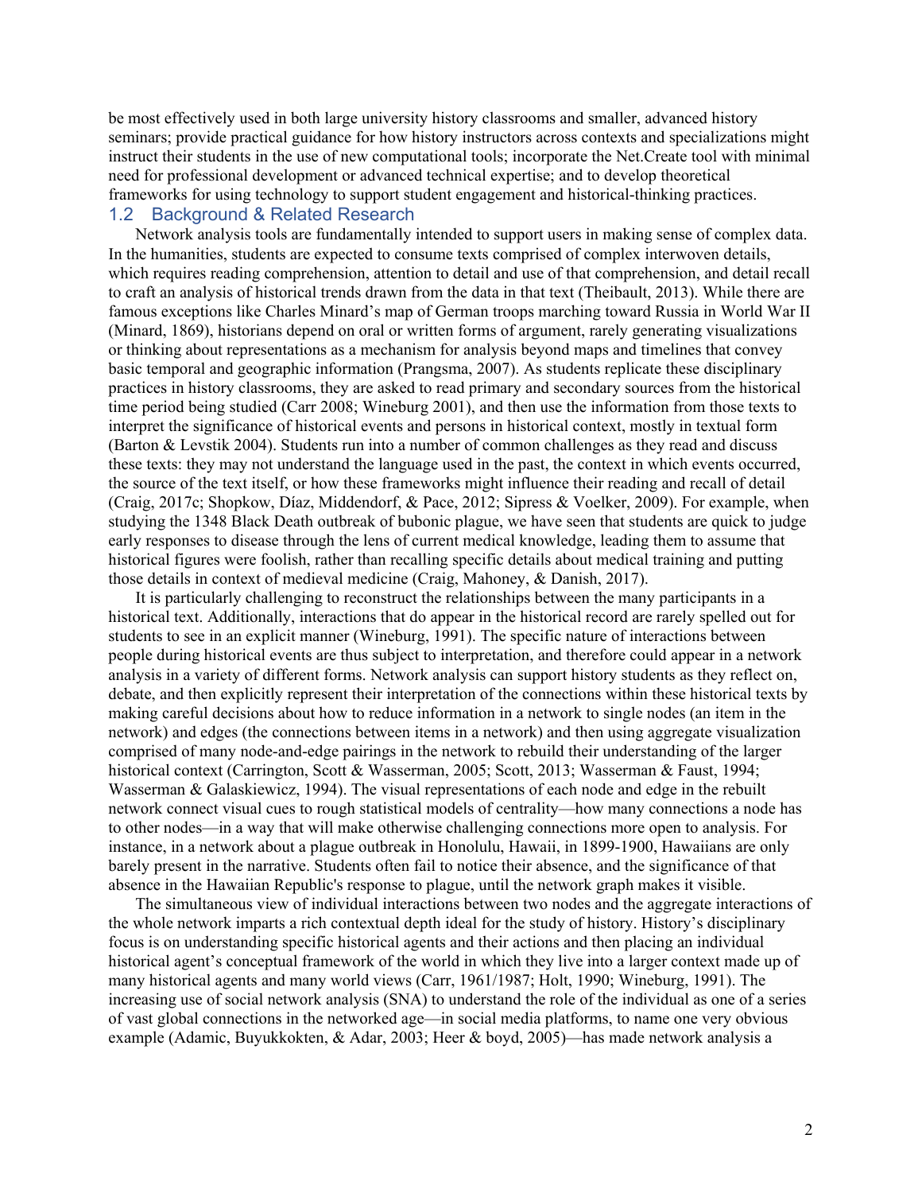be most effectively used in both large university history classrooms and smaller, advanced history seminars; provide practical guidance for how history instructors across contexts and specializations might instruct their students in the use of new computational tools; incorporate the Net.Create tool with minimal need for professional development or advanced technical expertise; and to develop theoretical frameworks for using technology to support student engagement and historical-thinking practices. 1.2 Background & Related Research

Network analysis tools are fundamentally intended to support users in making sense of complex data. In the humanities, students are expected to consume texts comprised of complex interwoven details, which requires reading comprehension, attention to detail and use of that comprehension, and detail recall to craft an analysis of historical trends drawn from the data in that text (Theibault, 2013). While there are famous exceptions like Charles Minard's map of German troops marching toward Russia in World War II (Minard, 1869), historians depend on oral or written forms of argument, rarely generating visualizations or thinking about representations as a mechanism for analysis beyond maps and timelines that convey basic temporal and geographic information (Prangsma, 2007). As students replicate these disciplinary practices in history classrooms, they are asked to read primary and secondary sources from the historical time period being studied (Carr 2008; Wineburg 2001), and then use the information from those texts to interpret the significance of historical events and persons in historical context, mostly in textual form (Barton & Levstik 2004). Students run into a number of common challenges as they read and discuss these texts: they may not understand the language used in the past, the context in which events occurred, the source of the text itself, or how these frameworks might influence their reading and recall of detail (Craig, 2017c; Shopkow, Díaz, Middendorf, & Pace, 2012; Sipress & Voelker, 2009). For example, when studying the 1348 Black Death outbreak of bubonic plague, we have seen that students are quick to judge early responses to disease through the lens of current medical knowledge, leading them to assume that historical figures were foolish, rather than recalling specific details about medical training and putting those details in context of medieval medicine (Craig, Mahoney, & Danish, 2017).

It is particularly challenging to reconstruct the relationships between the many participants in a historical text. Additionally, interactions that do appear in the historical record are rarely spelled out for students to see in an explicit manner (Wineburg, 1991). The specific nature of interactions between people during historical events are thus subject to interpretation, and therefore could appear in a network analysis in a variety of different forms. Network analysis can support history students as they reflect on, debate, and then explicitly represent their interpretation of the connections within these historical texts by making careful decisions about how to reduce information in a network to single nodes (an item in the network) and edges (the connections between items in a network) and then using aggregate visualization comprised of many node-and-edge pairings in the network to rebuild their understanding of the larger historical context (Carrington, Scott & Wasserman, 2005; Scott, 2013; Wasserman & Faust, 1994; Wasserman & Galaskiewicz, 1994). The visual representations of each node and edge in the rebuilt network connect visual cues to rough statistical models of centrality—how many connections a node has to other nodes—in a way that will make otherwise challenging connections more open to analysis. For instance, in a network about a plague outbreak in Honolulu, Hawaii, in 1899-1900, Hawaiians are only barely present in the narrative. Students often fail to notice their absence, and the significance of that absence in the Hawaiian Republic's response to plague, until the network graph makes it visible.

The simultaneous view of individual interactions between two nodes and the aggregate interactions of the whole network imparts a rich contextual depth ideal for the study of history. History's disciplinary focus is on understanding specific historical agents and their actions and then placing an individual historical agent's conceptual framework of the world in which they live into a larger context made up of many historical agents and many world views (Carr, 1961/1987; Holt, 1990; Wineburg, 1991). The increasing use of social network analysis (SNA) to understand the role of the individual as one of a series of vast global connections in the networked age—in social media platforms, to name one very obvious example (Adamic, Buyukkokten, & Adar, 2003; Heer & boyd, 2005)—has made network analysis a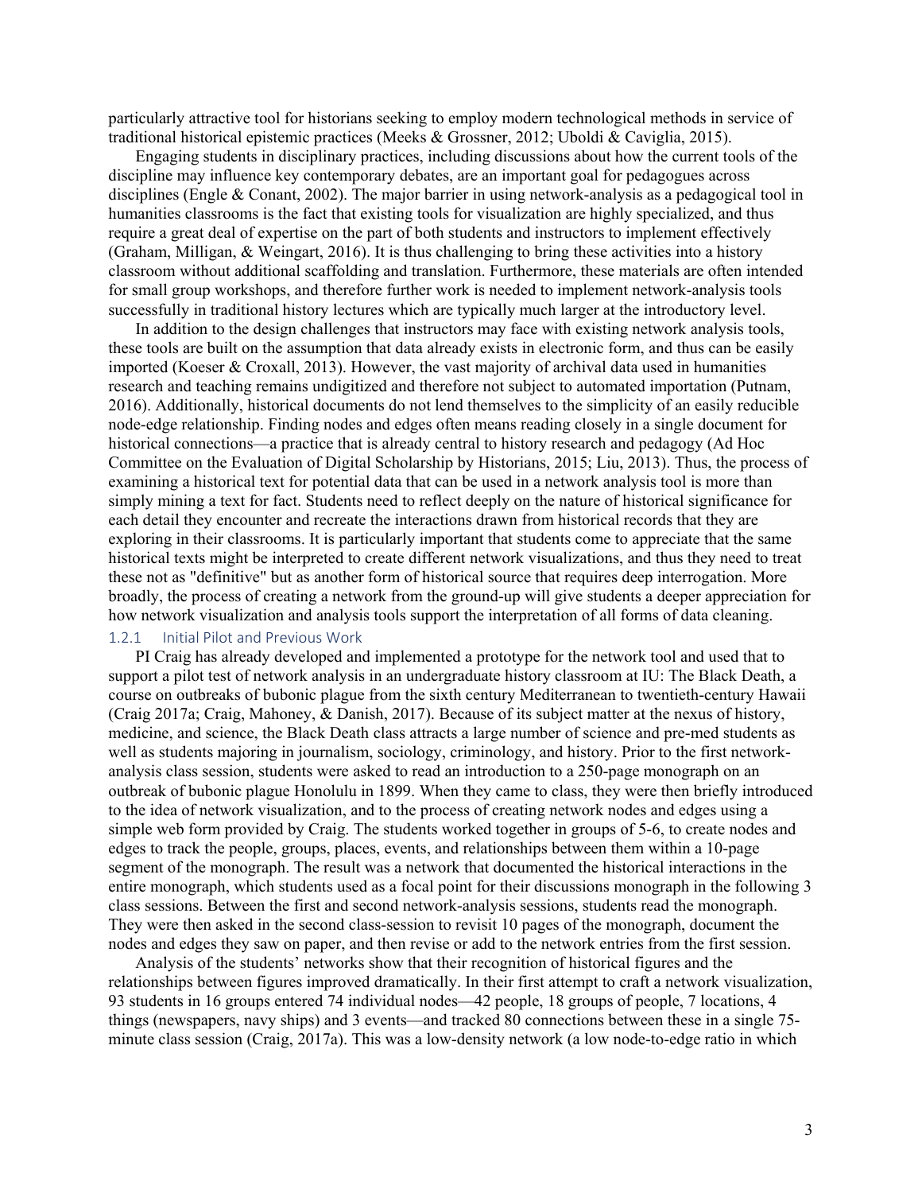particularly attractive tool for historians seeking to employ modern technological methods in service of traditional historical epistemic practices (Meeks & Grossner, 2012; Uboldi & Caviglia, 2015).

Engaging students in disciplinary practices, including discussions about how the current tools of the discipline may influence key contemporary debates, are an important goal for pedagogues across disciplines (Engle & Conant, 2002). The major barrier in using network-analysis as a pedagogical tool in humanities classrooms is the fact that existing tools for visualization are highly specialized, and thus require a great deal of expertise on the part of both students and instructors to implement effectively (Graham, Milligan, & Weingart, 2016). It is thus challenging to bring these activities into a history classroom without additional scaffolding and translation. Furthermore, these materials are often intended for small group workshops, and therefore further work is needed to implement network-analysis tools successfully in traditional history lectures which are typically much larger at the introductory level.

In addition to the design challenges that instructors may face with existing network analysis tools, these tools are built on the assumption that data already exists in electronic form, and thus can be easily imported (Koeser & Croxall, 2013). However, the vast majority of archival data used in humanities research and teaching remains undigitized and therefore not subject to automated importation (Putnam, 2016). Additionally, historical documents do not lend themselves to the simplicity of an easily reducible node-edge relationship. Finding nodes and edges often means reading closely in a single document for historical connections—a practice that is already central to history research and pedagogy (Ad Hoc Committee on the Evaluation of Digital Scholarship by Historians, 2015; Liu, 2013). Thus, the process of examining a historical text for potential data that can be used in a network analysis tool is more than simply mining a text for fact. Students need to reflect deeply on the nature of historical significance for each detail they encounter and recreate the interactions drawn from historical records that they are exploring in their classrooms. It is particularly important that students come to appreciate that the same historical texts might be interpreted to create different network visualizations, and thus they need to treat these not as "definitive" but as another form of historical source that requires deep interrogation. More broadly, the process of creating a network from the ground-up will give students a deeper appreciation for how network visualization and analysis tools support the interpretation of all forms of data cleaning.

#### 1.2.1 Initial Pilot and Previous Work

PI Craig has already developed and implemented a prototype for the network tool and used that to support a pilot test of network analysis in an undergraduate history classroom at IU: The Black Death, a course on outbreaks of bubonic plague from the sixth century Mediterranean to twentieth-century Hawaii (Craig 2017a; Craig, Mahoney, & Danish, 2017). Because of its subject matter at the nexus of history, medicine, and science, the Black Death class attracts a large number of science and pre-med students as well as students majoring in journalism, sociology, criminology, and history. Prior to the first networkanalysis class session, students were asked to read an introduction to a 250-page monograph on an outbreak of bubonic plague Honolulu in 1899. When they came to class, they were then briefly introduced to the idea of network visualization, and to the process of creating network nodes and edges using a simple web form provided by Craig. The students worked together in groups of 5-6, to create nodes and edges to track the people, groups, places, events, and relationships between them within a 10-page segment of the monograph. The result was a network that documented the historical interactions in the entire monograph, which students used as a focal point for their discussions monograph in the following 3 class sessions. Between the first and second network-analysis sessions, students read the monograph. They were then asked in the second class-session to revisit 10 pages of the monograph, document the nodes and edges they saw on paper, and then revise or add to the network entries from the first session.

Analysis of the students' networks show that their recognition of historical figures and the relationships between figures improved dramatically. In their first attempt to craft a network visualization, 93 students in 16 groups entered 74 individual nodes—42 people, 18 groups of people, 7 locations, 4 things (newspapers, navy ships) and 3 events—and tracked 80 connections between these in a single 75 minute class session (Craig, 2017a). This was a low-density network (a low node-to-edge ratio in which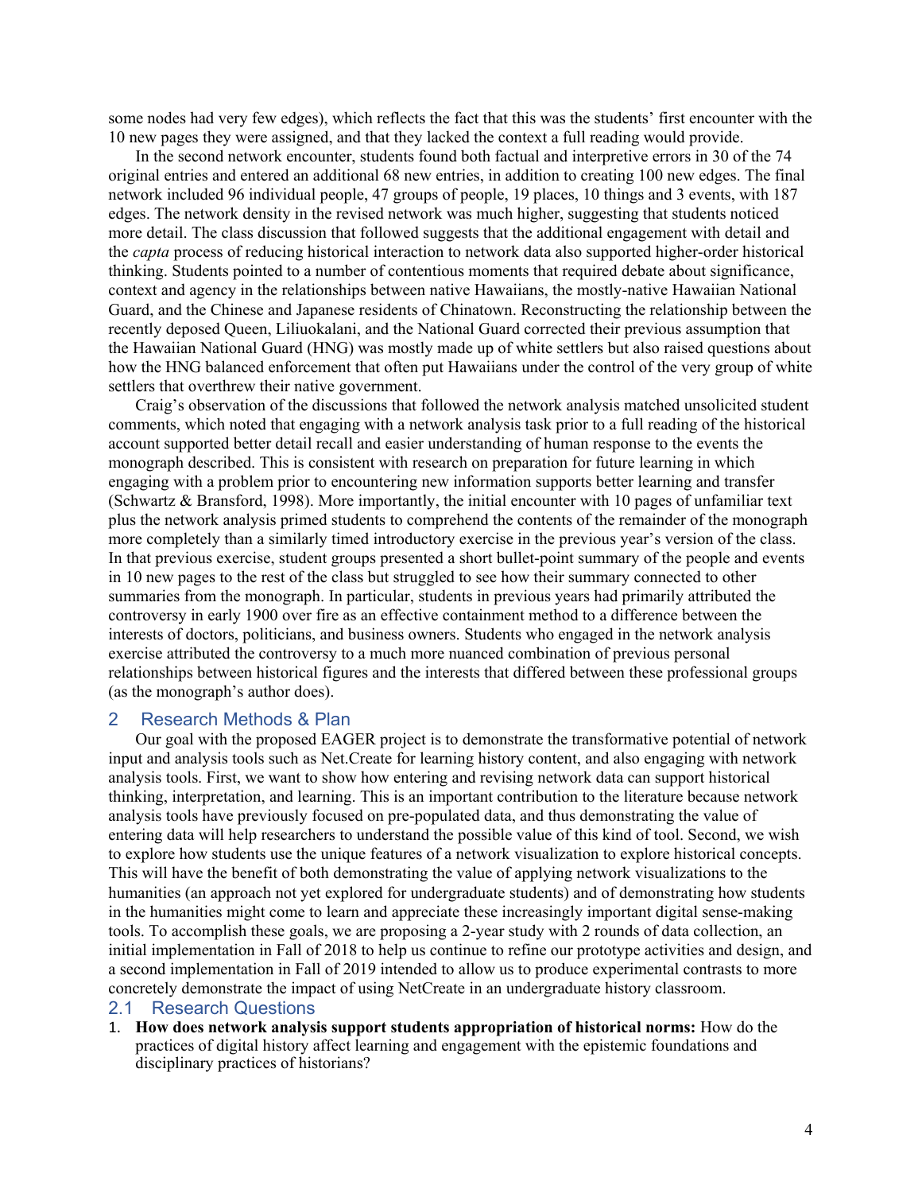some nodes had very few edges), which reflects the fact that this was the students' first encounter with the 10 new pages they were assigned, and that they lacked the context a full reading would provide.

In the second network encounter, students found both factual and interpretive errors in 30 of the 74 original entries and entered an additional 68 new entries, in addition to creating 100 new edges. The final network included 96 individual people, 47 groups of people, 19 places, 10 things and 3 events, with 187 edges. The network density in the revised network was much higher, suggesting that students noticed more detail. The class discussion that followed suggests that the additional engagement with detail and the *capta* process of reducing historical interaction to network data also supported higher-order historical thinking. Students pointed to a number of contentious moments that required debate about significance, context and agency in the relationships between native Hawaiians, the mostly-native Hawaiian National Guard, and the Chinese and Japanese residents of Chinatown. Reconstructing the relationship between the recently deposed Queen, Liliuokalani, and the National Guard corrected their previous assumption that the Hawaiian National Guard (HNG) was mostly made up of white settlers but also raised questions about how the HNG balanced enforcement that often put Hawaiians under the control of the very group of white settlers that overthrew their native government.

Craig's observation of the discussions that followed the network analysis matched unsolicited student comments, which noted that engaging with a network analysis task prior to a full reading of the historical account supported better detail recall and easier understanding of human response to the events the monograph described. This is consistent with research on preparation for future learning in which engaging with a problem prior to encountering new information supports better learning and transfer (Schwartz & Bransford, 1998). More importantly, the initial encounter with 10 pages of unfamiliar text plus the network analysis primed students to comprehend the contents of the remainder of the monograph more completely than a similarly timed introductory exercise in the previous year's version of the class. In that previous exercise, student groups presented a short bullet-point summary of the people and events in 10 new pages to the rest of the class but struggled to see how their summary connected to other summaries from the monograph. In particular, students in previous years had primarily attributed the controversy in early 1900 over fire as an effective containment method to a difference between the interests of doctors, politicians, and business owners. Students who engaged in the network analysis exercise attributed the controversy to a much more nuanced combination of previous personal relationships between historical figures and the interests that differed between these professional groups (as the monograph's author does).

#### 2 Research Methods & Plan

Our goal with the proposed EAGER project is to demonstrate the transformative potential of network input and analysis tools such as Net.Create for learning history content, and also engaging with network analysis tools. First, we want to show how entering and revising network data can support historical thinking, interpretation, and learning. This is an important contribution to the literature because network analysis tools have previously focused on pre-populated data, and thus demonstrating the value of entering data will help researchers to understand the possible value of this kind of tool. Second, we wish to explore how students use the unique features of a network visualization to explore historical concepts. This will have the benefit of both demonstrating the value of applying network visualizations to the humanities (an approach not yet explored for undergraduate students) and of demonstrating how students in the humanities might come to learn and appreciate these increasingly important digital sense-making tools. To accomplish these goals, we are proposing a 2-year study with 2 rounds of data collection, an initial implementation in Fall of 2018 to help us continue to refine our prototype activities and design, and a second implementation in Fall of 2019 intended to allow us to produce experimental contrasts to more concretely demonstrate the impact of using NetCreate in an undergraduate history classroom.

#### 2.1 Research Questions

1. **How does network analysis support students appropriation of historical norms:** How do the practices of digital history affect learning and engagement with the epistemic foundations and disciplinary practices of historians?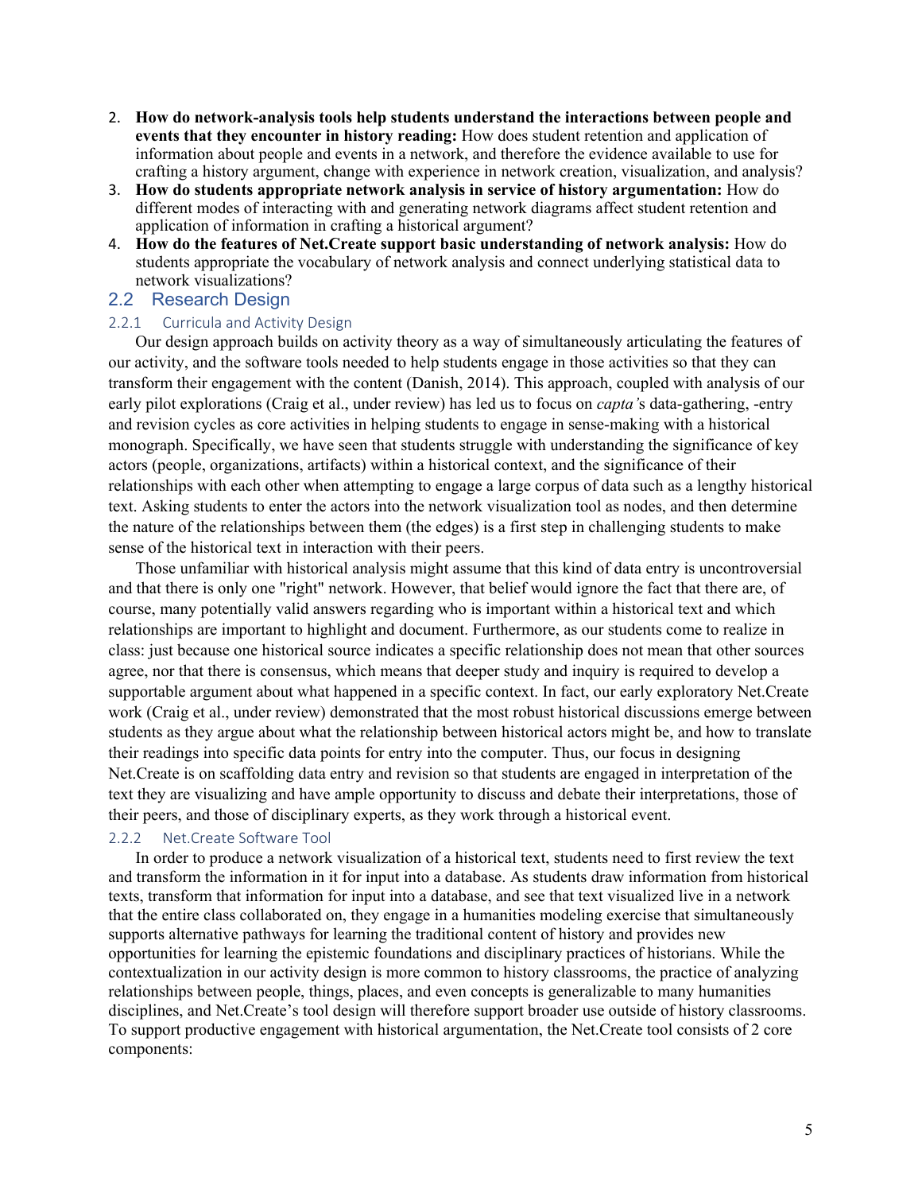- 2. **How do network-analysis tools help students understand the interactions between people and events that they encounter in history reading:** How does student retention and application of information about people and events in a network, and therefore the evidence available to use for crafting a history argument, change with experience in network creation, visualization, and analysis?
- 3. **How do students appropriate network analysis in service of history argumentation:** How do different modes of interacting with and generating network diagrams affect student retention and application of information in crafting a historical argument?
- 4. **How do the features of Net.Create support basic understanding of network analysis:** How do students appropriate the vocabulary of network analysis and connect underlying statistical data to network visualizations?

#### 2.2 Research Design

#### 2.2.1 Curricula and Activity Design

Our design approach builds on activity theory as a way of simultaneously articulating the features of our activity, and the software tools needed to help students engage in those activities so that they can transform their engagement with the content (Danish, 2014). This approach, coupled with analysis of our early pilot explorations (Craig et al., under review) has led us to focus on *capta'*s data-gathering, -entry and revision cycles as core activities in helping students to engage in sense-making with a historical monograph. Specifically, we have seen that students struggle with understanding the significance of key actors (people, organizations, artifacts) within a historical context, and the significance of their relationships with each other when attempting to engage a large corpus of data such as a lengthy historical text. Asking students to enter the actors into the network visualization tool as nodes, and then determine the nature of the relationships between them (the edges) is a first step in challenging students to make sense of the historical text in interaction with their peers.

Those unfamiliar with historical analysis might assume that this kind of data entry is uncontroversial and that there is only one "right" network. However, that belief would ignore the fact that there are, of course, many potentially valid answers regarding who is important within a historical text and which relationships are important to highlight and document. Furthermore, as our students come to realize in class: just because one historical source indicates a specific relationship does not mean that other sources agree, nor that there is consensus, which means that deeper study and inquiry is required to develop a supportable argument about what happened in a specific context. In fact, our early exploratory Net.Create work (Craig et al., under review) demonstrated that the most robust historical discussions emerge between students as they argue about what the relationship between historical actors might be, and how to translate their readings into specific data points for entry into the computer. Thus, our focus in designing Net.Create is on scaffolding data entry and revision so that students are engaged in interpretation of the text they are visualizing and have ample opportunity to discuss and debate their interpretations, those of their peers, and those of disciplinary experts, as they work through a historical event.

#### 2.2.2 Net.Create Software Tool

In order to produce a network visualization of a historical text, students need to first review the text and transform the information in it for input into a database. As students draw information from historical texts, transform that information for input into a database, and see that text visualized live in a network that the entire class collaborated on, they engage in a humanities modeling exercise that simultaneously supports alternative pathways for learning the traditional content of history and provides new opportunities for learning the epistemic foundations and disciplinary practices of historians. While the contextualization in our activity design is more common to history classrooms, the practice of analyzing relationships between people, things, places, and even concepts is generalizable to many humanities disciplines, and Net.Create's tool design will therefore support broader use outside of history classrooms. To support productive engagement with historical argumentation, the Net.Create tool consists of 2 core components: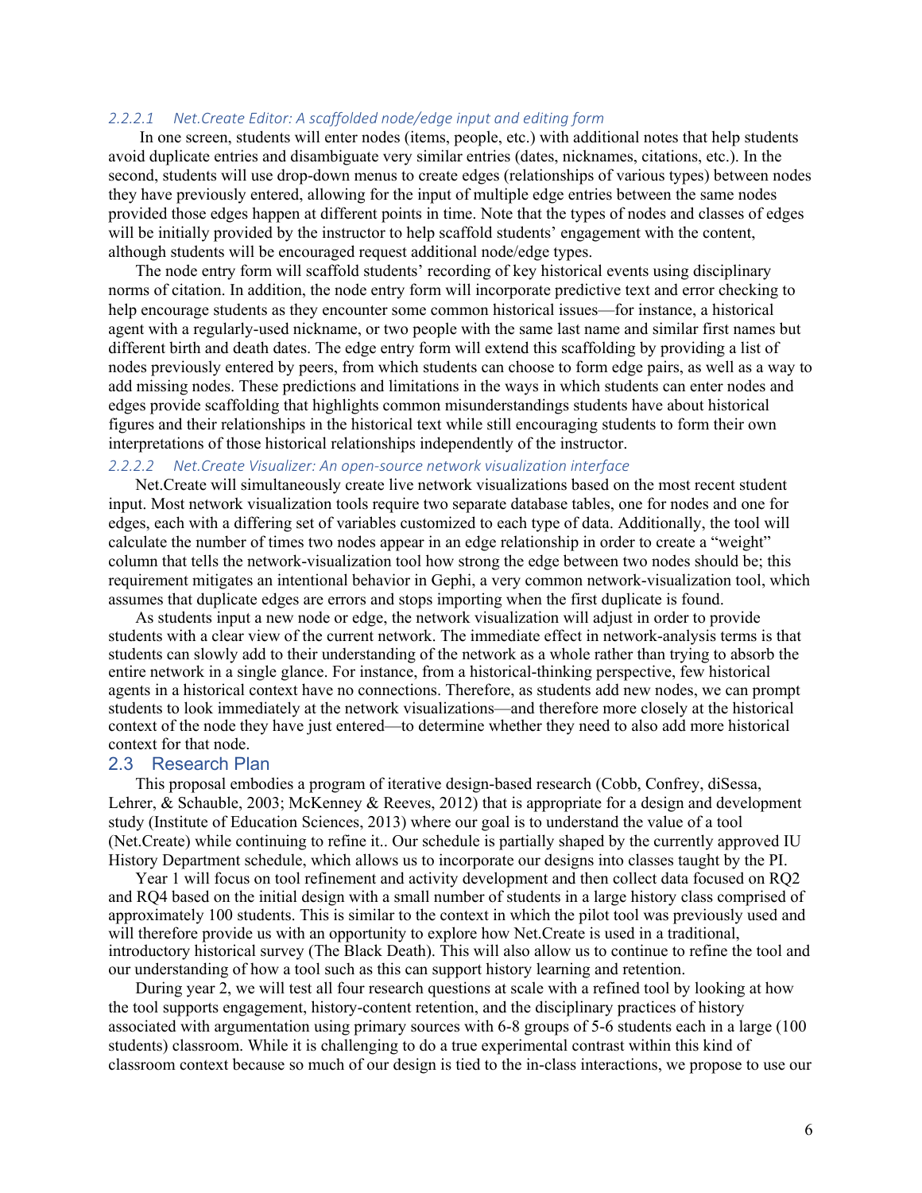#### *2.2.2.1 Net.Create Editor: A scaffolded node/edge input and editing form*

In one screen, students will enter nodes (items, people, etc.) with additional notes that help students avoid duplicate entries and disambiguate very similar entries (dates, nicknames, citations, etc.). In the second, students will use drop-down menus to create edges (relationships of various types) between nodes they have previously entered, allowing for the input of multiple edge entries between the same nodes provided those edges happen at different points in time. Note that the types of nodes and classes of edges will be initially provided by the instructor to help scaffold students' engagement with the content, although students will be encouraged request additional node/edge types.

The node entry form will scaffold students' recording of key historical events using disciplinary norms of citation. In addition, the node entry form will incorporate predictive text and error checking to help encourage students as they encounter some common historical issues—for instance, a historical agent with a regularly-used nickname, or two people with the same last name and similar first names but different birth and death dates. The edge entry form will extend this scaffolding by providing a list of nodes previously entered by peers, from which students can choose to form edge pairs, as well as a way to add missing nodes. These predictions and limitations in the ways in which students can enter nodes and edges provide scaffolding that highlights common misunderstandings students have about historical figures and their relationships in the historical text while still encouraging students to form their own interpretations of those historical relationships independently of the instructor.

#### *2.2.2.2 Net.Create Visualizer: An open-source network visualization interface*

Net.Create will simultaneously create live network visualizations based on the most recent student input. Most network visualization tools require two separate database tables, one for nodes and one for edges, each with a differing set of variables customized to each type of data. Additionally, the tool will calculate the number of times two nodes appear in an edge relationship in order to create a "weight" column that tells the network-visualization tool how strong the edge between two nodes should be; this requirement mitigates an intentional behavior in Gephi, a very common network-visualization tool, which assumes that duplicate edges are errors and stops importing when the first duplicate is found.

As students input a new node or edge, the network visualization will adjust in order to provide students with a clear view of the current network. The immediate effect in network-analysis terms is that students can slowly add to their understanding of the network as a whole rather than trying to absorb the entire network in a single glance. For instance, from a historical-thinking perspective, few historical agents in a historical context have no connections. Therefore, as students add new nodes, we can prompt students to look immediately at the network visualizations—and therefore more closely at the historical context of the node they have just entered—to determine whether they need to also add more historical context for that node.

#### 2.3 Research Plan

This proposal embodies a program of iterative design-based research (Cobb, Confrey, diSessa, Lehrer, & Schauble, 2003; McKenney & Reeves, 2012) that is appropriate for a design and development study (Institute of Education Sciences, 2013) where our goal is to understand the value of a tool (Net.Create) while continuing to refine it.. Our schedule is partially shaped by the currently approved IU History Department schedule, which allows us to incorporate our designs into classes taught by the PI.

Year 1 will focus on tool refinement and activity development and then collect data focused on RQ2 and RQ4 based on the initial design with a small number of students in a large history class comprised of approximately 100 students. This is similar to the context in which the pilot tool was previously used and will therefore provide us with an opportunity to explore how Net.Create is used in a traditional, introductory historical survey (The Black Death). This will also allow us to continue to refine the tool and our understanding of how a tool such as this can support history learning and retention.

During year 2, we will test all four research questions at scale with a refined tool by looking at how the tool supports engagement, history-content retention, and the disciplinary practices of history associated with argumentation using primary sources with 6-8 groups of 5-6 students each in a large (100 students) classroom. While it is challenging to do a true experimental contrast within this kind of classroom context because so much of our design is tied to the in-class interactions, we propose to use our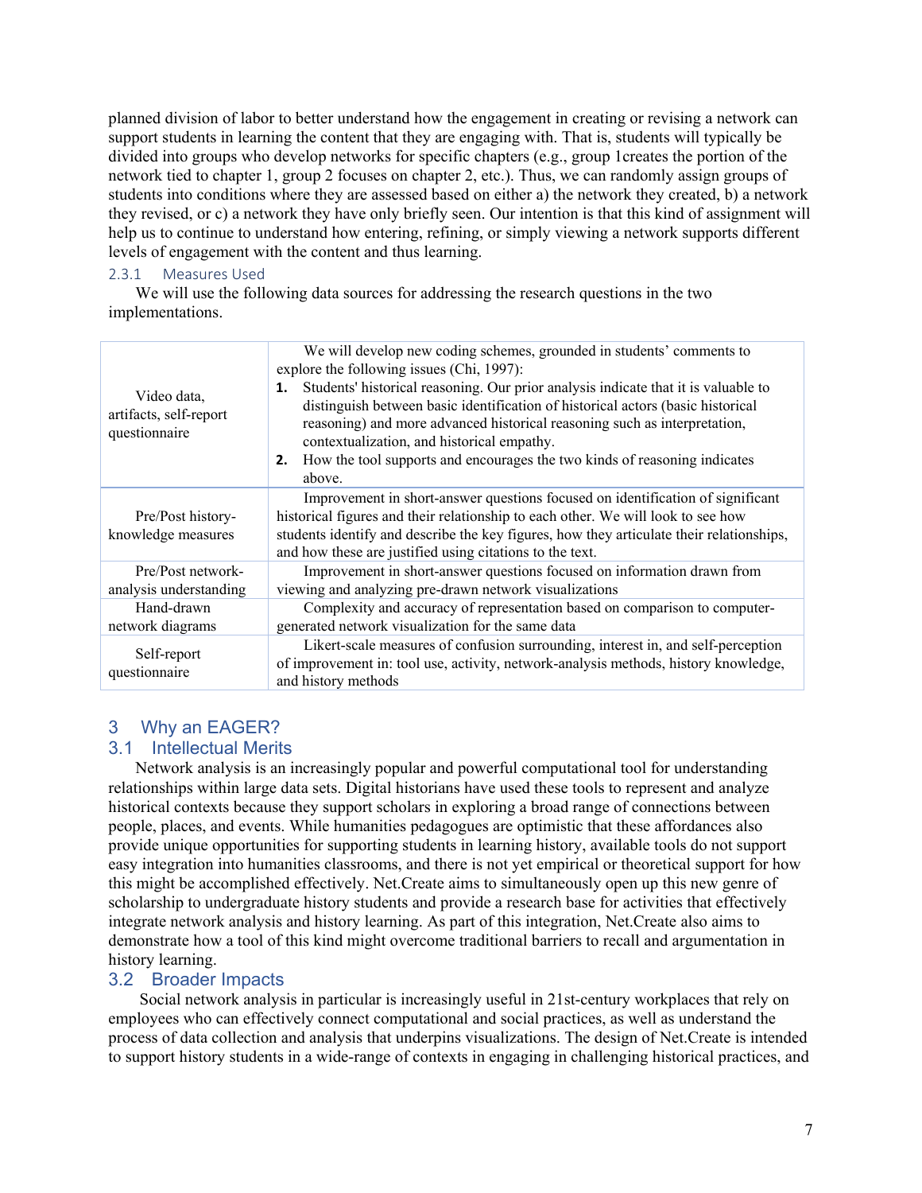planned division of labor to better understand how the engagement in creating or revising a network can support students in learning the content that they are engaging with. That is, students will typically be divided into groups who develop networks for specific chapters (e.g., group 1creates the portion of the network tied to chapter 1, group 2 focuses on chapter 2, etc.). Thus, we can randomly assign groups of students into conditions where they are assessed based on either a) the network they created, b) a network they revised, or c) a network they have only briefly seen. Our intention is that this kind of assignment will help us to continue to understand how entering, refining, or simply viewing a network supports different levels of engagement with the content and thus learning.

### 2.3.1 Measures Used

We will use the following data sources for addressing the research questions in the two implementations.

| Video data,<br>artifacts, self-report<br>questionnaire | We will develop new coding schemes, grounded in students' comments to<br>explore the following issues (Chi, 1997):<br>Students' historical reasoning. Our prior analysis indicate that it is valuable to<br>1.<br>distinguish between basic identification of historical actors (basic historical<br>reasoning) and more advanced historical reasoning such as interpretation,<br>contextualization, and historical empathy.<br>How the tool supports and encourages the two kinds of reasoning indicates<br>2.<br>above. |  |  |
|--------------------------------------------------------|---------------------------------------------------------------------------------------------------------------------------------------------------------------------------------------------------------------------------------------------------------------------------------------------------------------------------------------------------------------------------------------------------------------------------------------------------------------------------------------------------------------------------|--|--|
| Pre/Post history-<br>knowledge measures                | Improvement in short-answer questions focused on identification of significant<br>historical figures and their relationship to each other. We will look to see how<br>students identify and describe the key figures, how they articulate their relationships,<br>and how these are justified using citations to the text.                                                                                                                                                                                                |  |  |
| Pre/Post network-<br>analysis understanding            | Improvement in short-answer questions focused on information drawn from<br>viewing and analyzing pre-drawn network visualizations                                                                                                                                                                                                                                                                                                                                                                                         |  |  |
| Hand-drawn<br>network diagrams                         | Complexity and accuracy of representation based on comparison to computer-<br>generated network visualization for the same data                                                                                                                                                                                                                                                                                                                                                                                           |  |  |
| Self-report<br>questionnaire                           | Likert-scale measures of confusion surrounding, interest in, and self-perception<br>of improvement in: tool use, activity, network-analysis methods, history knowledge,<br>and history methods                                                                                                                                                                                                                                                                                                                            |  |  |

# 3 Why an EAGER?

## 3.1 Intellectual Merits

Network analysis is an increasingly popular and powerful computational tool for understanding relationships within large data sets. Digital historians have used these tools to represent and analyze historical contexts because they support scholars in exploring a broad range of connections between people, places, and events. While humanities pedagogues are optimistic that these affordances also provide unique opportunities for supporting students in learning history, available tools do not support easy integration into humanities classrooms, and there is not yet empirical or theoretical support for how this might be accomplished effectively. Net.Create aims to simultaneously open up this new genre of scholarship to undergraduate history students and provide a research base for activities that effectively integrate network analysis and history learning. As part of this integration, Net.Create also aims to demonstrate how a tool of this kind might overcome traditional barriers to recall and argumentation in history learning.

## 3.2 Broader Impacts

Social network analysis in particular is increasingly useful in 21st-century workplaces that rely on employees who can effectively connect computational and social practices, as well as understand the process of data collection and analysis that underpins visualizations. The design of Net.Create is intended to support history students in a wide-range of contexts in engaging in challenging historical practices, and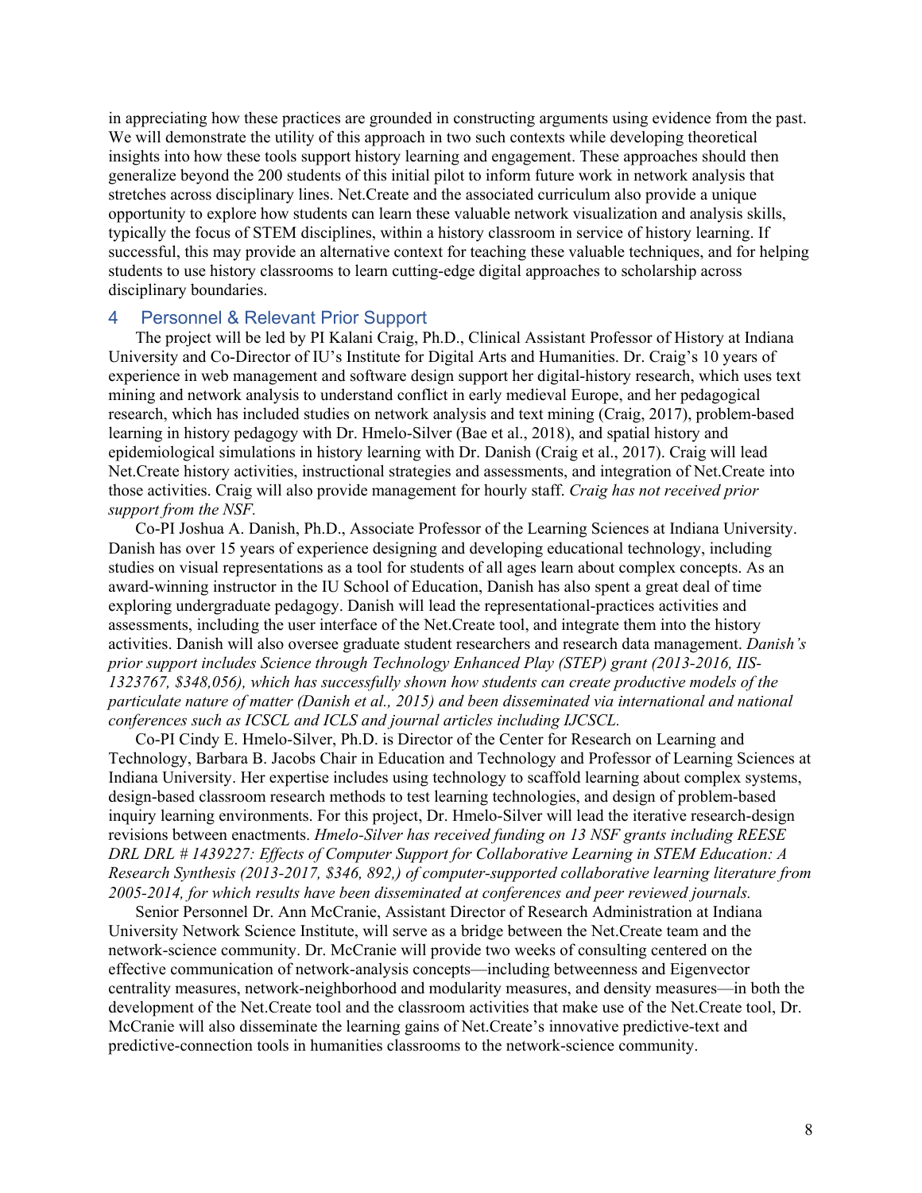in appreciating how these practices are grounded in constructing arguments using evidence from the past. We will demonstrate the utility of this approach in two such contexts while developing theoretical insights into how these tools support history learning and engagement. These approaches should then generalize beyond the 200 students of this initial pilot to inform future work in network analysis that stretches across disciplinary lines. Net.Create and the associated curriculum also provide a unique opportunity to explore how students can learn these valuable network visualization and analysis skills, typically the focus of STEM disciplines, within a history classroom in service of history learning. If successful, this may provide an alternative context for teaching these valuable techniques, and for helping students to use history classrooms to learn cutting-edge digital approaches to scholarship across disciplinary boundaries.

#### 4 Personnel & Relevant Prior Support

The project will be led by PI Kalani Craig, Ph.D., Clinical Assistant Professor of History at Indiana University and Co-Director of IU's Institute for Digital Arts and Humanities. Dr. Craig's 10 years of experience in web management and software design support her digital-history research, which uses text mining and network analysis to understand conflict in early medieval Europe, and her pedagogical research, which has included studies on network analysis and text mining (Craig, 2017), problem-based learning in history pedagogy with Dr. Hmelo-Silver (Bae et al., 2018), and spatial history and epidemiological simulations in history learning with Dr. Danish (Craig et al., 2017). Craig will lead Net.Create history activities, instructional strategies and assessments, and integration of Net.Create into those activities. Craig will also provide management for hourly staff. *Craig has not received prior support from the NSF.*

Co-PI Joshua A. Danish, Ph.D., Associate Professor of the Learning Sciences at Indiana University. Danish has over 15 years of experience designing and developing educational technology, including studies on visual representations as a tool for students of all ages learn about complex concepts. As an award-winning instructor in the IU School of Education, Danish has also spent a great deal of time exploring undergraduate pedagogy. Danish will lead the representational-practices activities and assessments, including the user interface of the Net.Create tool, and integrate them into the history activities. Danish will also oversee graduate student researchers and research data management. *Danish's prior support includes Science through Technology Enhanced Play (STEP) grant (2013-2016, IIS-1323767, \$348,056), which has successfully shown how students can create productive models of the particulate nature of matter (Danish et al., 2015) and been disseminated via international and national conferences such as ICSCL and ICLS and journal articles including IJCSCL.*

Co-PI Cindy E. Hmelo-Silver, Ph.D. is Director of the Center for Research on Learning and Technology, Barbara B. Jacobs Chair in Education and Technology and Professor of Learning Sciences at Indiana University. Her expertise includes using technology to scaffold learning about complex systems, design-based classroom research methods to test learning technologies, and design of problem-based inquiry learning environments. For this project, Dr. Hmelo-Silver will lead the iterative research-design revisions between enactments. *Hmelo-Silver has received funding on 13 NSF grants including REESE DRL DRL # 1439227: Effects of Computer Support for Collaborative Learning in STEM Education: A Research Synthesis (2013-2017, \$346, 892,) of computer-supported collaborative learning literature from 2005-2014, for which results have been disseminated at conferences and peer reviewed journals.*

Senior Personnel Dr. Ann McCranie, Assistant Director of Research Administration at Indiana University Network Science Institute, will serve as a bridge between the Net.Create team and the network-science community. Dr. McCranie will provide two weeks of consulting centered on the effective communication of network-analysis concepts—including betweenness and Eigenvector centrality measures, network-neighborhood and modularity measures, and density measures—in both the development of the Net.Create tool and the classroom activities that make use of the Net.Create tool, Dr. McCranie will also disseminate the learning gains of Net.Create's innovative predictive-text and predictive-connection tools in humanities classrooms to the network-science community.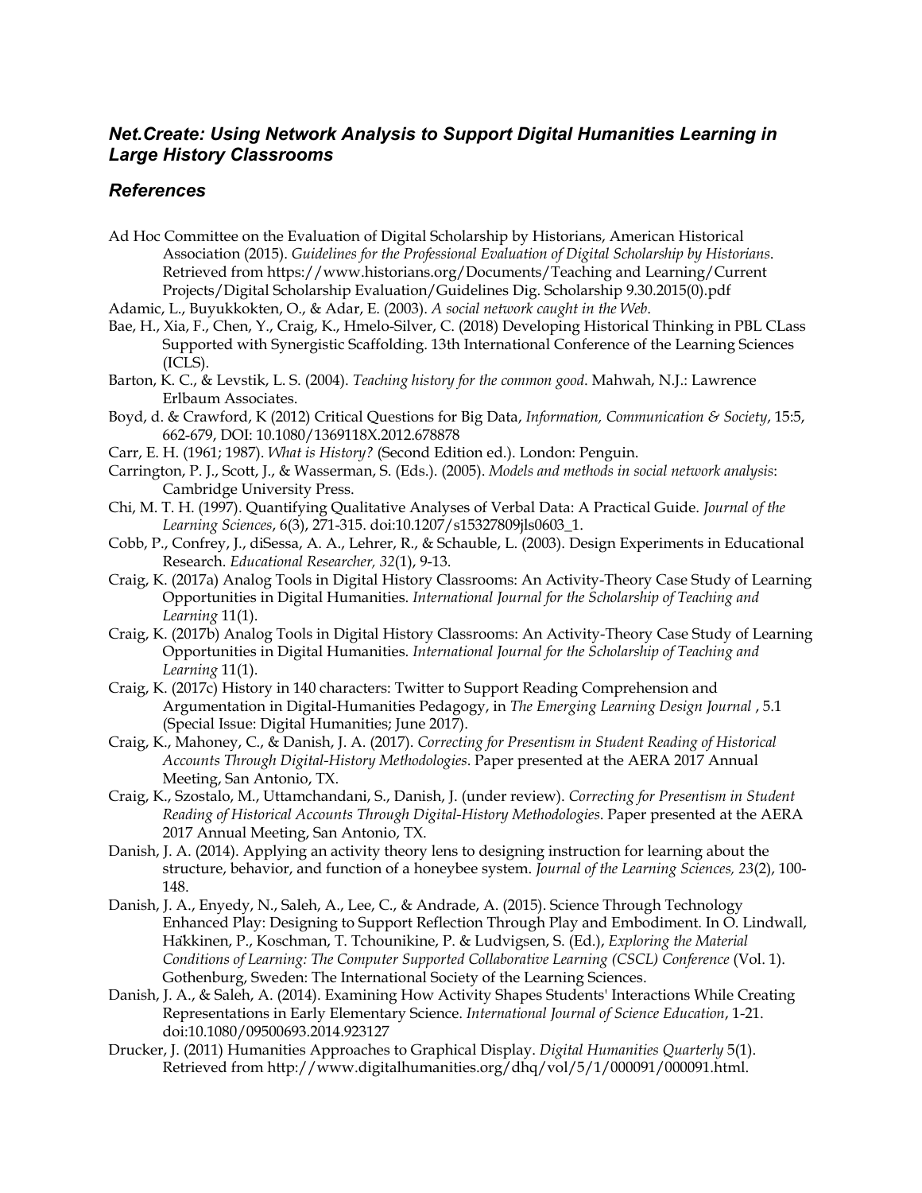## *Net.Create: Using Network Analysis to Support Digital Humanities Learning in Large History Classrooms*

## *References*

- Ad Hoc Committee on the Evaluation of Digital Scholarship by Historians, American Historical Association (2015). *Guidelines for the Professional Evaluation of Digital Scholarship by Historians*. Retrieved from https://www.historians.org/Documents/Teaching and Learning/Current Projects/Digital Scholarship Evaluation/Guidelines Dig. Scholarship 9.30.2015(0).pdf
- Adamic, L., Buyukkokten, O., & Adar, E. (2003). *A social network caught in the Web*.
- Bae, H., Xia, F., Chen, Y., Craig, K., Hmelo-Silver, C. (2018) Developing Historical Thinking in PBL CLass Supported with Synergistic Scaffolding. 13th International Conference of the Learning Sciences (ICLS).
- Barton, K. C., & Levstik, L. S. (2004). *Teaching history for the common good*. Mahwah, N.J.: Lawrence Erlbaum Associates.
- Boyd, d. & Crawford, K (2012) Critical Questions for Big Data, *Information, Communication & Society*, 15:5, 662-679, DOI: 10.1080/1369118X.2012.678878
- Carr, E. H. (1961; 1987). *What is History?* (Second Edition ed.). London: Penguin.
- Carrington, P. J., Scott, J., & Wasserman, S. (Eds.). (2005). *Models and methods in social network analysis*: Cambridge University Press.
- Chi, M. T. H. (1997). Quantifying Qualitative Analyses of Verbal Data: A Practical Guide. *Journal of the Learning Sciences*, 6(3), 271-315. doi:10.1207/s15327809jls0603\_1.
- Cobb, P., Confrey, J., diSessa, A. A., Lehrer, R., & Schauble, L. (2003). Design Experiments in Educational Research. *Educational Researcher, 32*(1), 9-13.
- Craig, K. (2017a) Analog Tools in Digital History Classrooms: An Activity-Theory Case Study of Learning Opportunities in Digital Humanities. *International Journal for the Scholarship of Teaching and Learning* 11(1).
- Craig, K. (2017b) Analog Tools in Digital History Classrooms: An Activity-Theory Case Study of Learning Opportunities in Digital Humanities. *International Journal for the Scholarship of Teaching and Learning* 11(1).
- Craig, K. (2017c) History in 140 characters: Twitter to Support Reading Comprehension and Argumentation in Digital-Humanities Pedagogy, in *The Emerging Learning Design Journal* , 5.1 (Special Issue: Digital Humanities; June 2017).
- Craig, K., Mahoney, C., & Danish, J. A. (2017). *Correcting for Presentism in Student Reading of Historical Accounts Through Digital-History Methodologies*. Paper presented at the AERA 2017 Annual Meeting, San Antonio, TX.
- Craig, K., Szostalo, M., Uttamchandani, S., Danish, J. (under review). *Correcting for Presentism in Student Reading of Historical Accounts Through Digital-History Methodologies*. Paper presented at the AERA 2017 Annual Meeting, San Antonio, TX.
- Danish, J. A. (2014). Applying an activity theory lens to designing instruction for learning about the structure, behavior, and function of a honeybee system. *Journal of the Learning Sciences, 23*(2), 100- 148.
- Danish, J. A., Enyedy, N., Saleh, A., Lee, C., & Andrade, A. (2015). Science Through Technology Enhanced Play: Designing to Support Reflection Through Play and Embodiment. In O. Lindwall, Häkkinen, P., Koschman, T. Tchounikine, P. & Ludvigsen, S. (Ed.), *Exploring the Material Conditions of Learning: The Computer Supported Collaborative Learning (CSCL) Conference* (Vol. 1). Gothenburg, Sweden: The International Society of the Learning Sciences.
- Danish, J. A., & Saleh, A. (2014). Examining How Activity Shapes Students' Interactions While Creating Representations in Early Elementary Science. *International Journal of Science Education*, 1-21. doi:10.1080/09500693.2014.923127
- Drucker, J. (2011) Humanities Approaches to Graphical Display. *Digital Humanities Quarterly* 5(1). Retrieved from http://www.digitalhumanities.org/dhq/vol/5/1/000091/000091.html.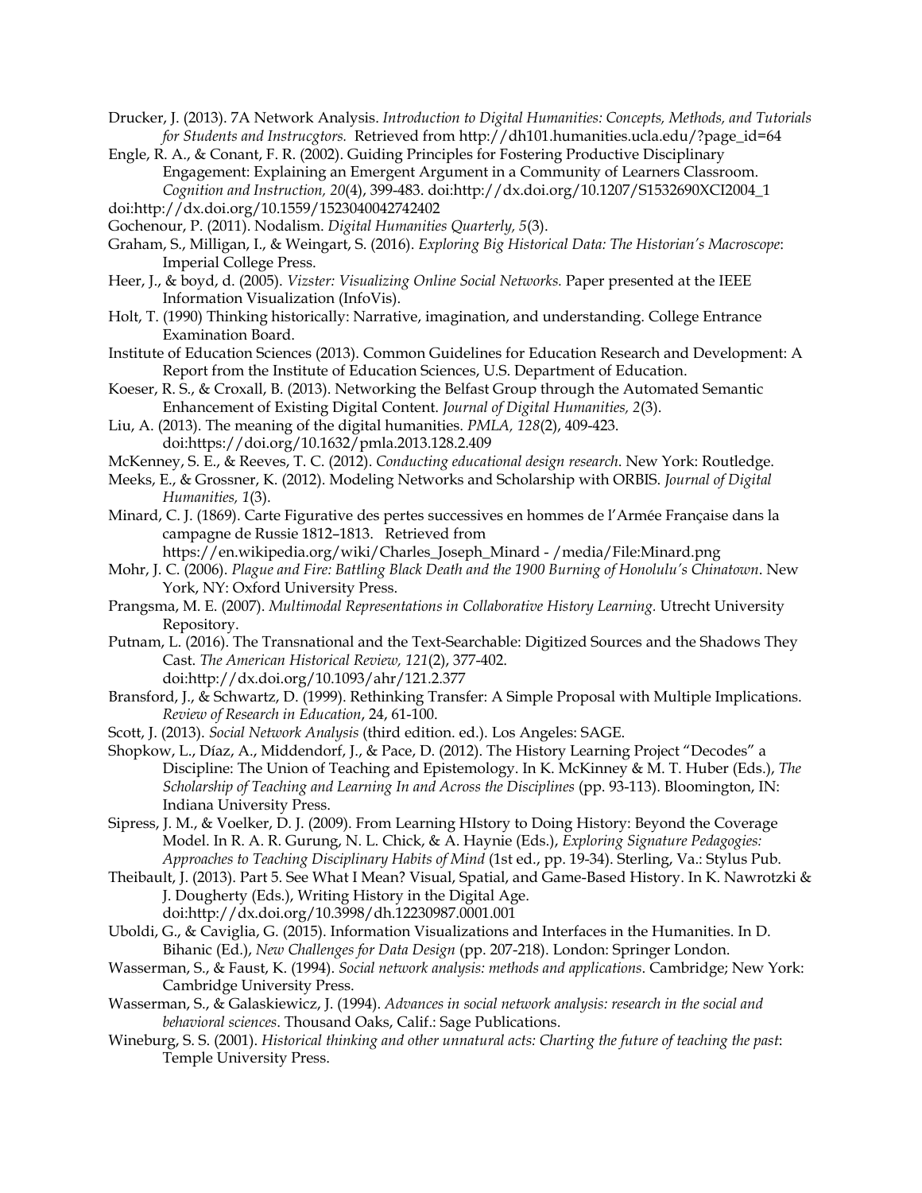- Drucker, J. (2013). 7A Network Analysis. *Introduction to Digital Humanities: Concepts, Methods, and Tutorials for Students and Instrucgtors.* Retrieved from http://dh101.humanities.ucla.edu/?page\_id=64
- Engle, R. A., & Conant, F. R. (2002). Guiding Principles for Fostering Productive Disciplinary Engagement: Explaining an Emergent Argument in a Community of Learners Classroom. *Cognition and Instruction, 20*(4), 399-483. doi:http://dx.doi.org/10.1207/S1532690XCI2004\_1 doi:http://dx.doi.org/10.1559/1523040042742402
- Gochenour, P. (2011). Nodalism. *Digital Humanities Quarterly, 5*(3).
- Graham, S., Milligan, I., & Weingart, S. (2016). *Exploring Big Historical Data: The Historian's Macroscope*: Imperial College Press.
- Heer, J., & boyd, d. (2005). *Vizster: Visualizing Online Social Networks.* Paper presented at the IEEE Information Visualization (InfoVis).
- Holt, T. (1990) Thinking historically: Narrative, imagination, and understanding. College Entrance Examination Board.
- Institute of Education Sciences (2013). Common Guidelines for Education Research and Development: A Report from the Institute of Education Sciences, U.S. Department of Education.
- Koeser, R. S., & Croxall, B. (2013). Networking the Belfast Group through the Automated Semantic Enhancement of Existing Digital Content. *Journal of Digital Humanities, 2*(3).
- Liu, A. (2013). The meaning of the digital humanities. *PMLA, 128*(2), 409-423. doi:https://doi.org/10.1632/pmla.2013.128.2.409
- McKenney, S. E., & Reeves, T. C. (2012). *Conducting educational design research*. New York: Routledge.
- Meeks, E., & Grossner, K. (2012). Modeling Networks and Scholarship with ORBIS. *Journal of Digital Humanities, 1*(3).
- Minard, C. J. (1869). Carte Figurative des pertes successives en hommes de l'Armée Française dans la campagne de Russie 1812–1813. Retrieved from
	- https://en.wikipedia.org/wiki/Charles\_Joseph\_Minard /media/File:Minard.png
- Mohr, J. C. (2006). *Plague and Fire: Battling Black Death and the 1900 Burning of Honolulu's Chinatown*. New York, NY: Oxford University Press.
- Prangsma, M. E. (2007). *Multimodal Representations in Collaborative History Learning.* Utrecht University Repository.
- Putnam, L. (2016). The Transnational and the Text-Searchable: Digitized Sources and the Shadows They Cast. *The American Historical Review, 121*(2), 377-402. doi:http://dx.doi.org/10.1093/ahr/121.2.377
- Bransford, J., & Schwartz, D. (1999). Rethinking Transfer: A Simple Proposal with Multiple Implications. *Review of Research in Education*, 24, 61-100.
- Scott, J. (2013). *Social Network Analysis* (third edition. ed.). Los Angeles: SAGE.
- Shopkow, L., Díaz, A., Middendorf, J., & Pace, D. (2012). The History Learning Project "Decodes" a Discipline: The Union of Teaching and Epistemology. In K. McKinney & M. T. Huber (Eds.), *The Scholarship of Teaching and Learning In and Across the Disciplines* (pp. 93-113). Bloomington, IN: Indiana University Press.
- Sipress, J. M., & Voelker, D. J. (2009). From Learning HIstory to Doing History: Beyond the Coverage Model. In R. A. R. Gurung, N. L. Chick, & A. Haynie (Eds.), *Exploring Signature Pedagogies: Approaches to Teaching Disciplinary Habits of Mind* (1st ed., pp. 19-34). Sterling, Va.: Stylus Pub.
- Theibault, J. (2013). Part 5. See What I Mean? Visual, Spatial, and Game-Based History. In K. Nawrotzki & J. Dougherty (Eds.), Writing History in the Digital Age. doi:http://dx.doi.org/10.3998/dh.12230987.0001.001
- Uboldi, G., & Caviglia, G. (2015). Information Visualizations and Interfaces in the Humanities. In D. Bihanic (Ed.), *New Challenges for Data Design* (pp. 207-218). London: Springer London.
- Wasserman, S., & Faust, K. (1994). *Social network analysis: methods and applications*. Cambridge; New York: Cambridge University Press.
- Wasserman, S., & Galaskiewicz, J. (1994). *Advances in social network analysis: research in the social and behavioral sciences*. Thousand Oaks, Calif.: Sage Publications.
- Wineburg, S. S. (2001). *Historical thinking and other unnatural acts: Charting the future of teaching the past*: Temple University Press.